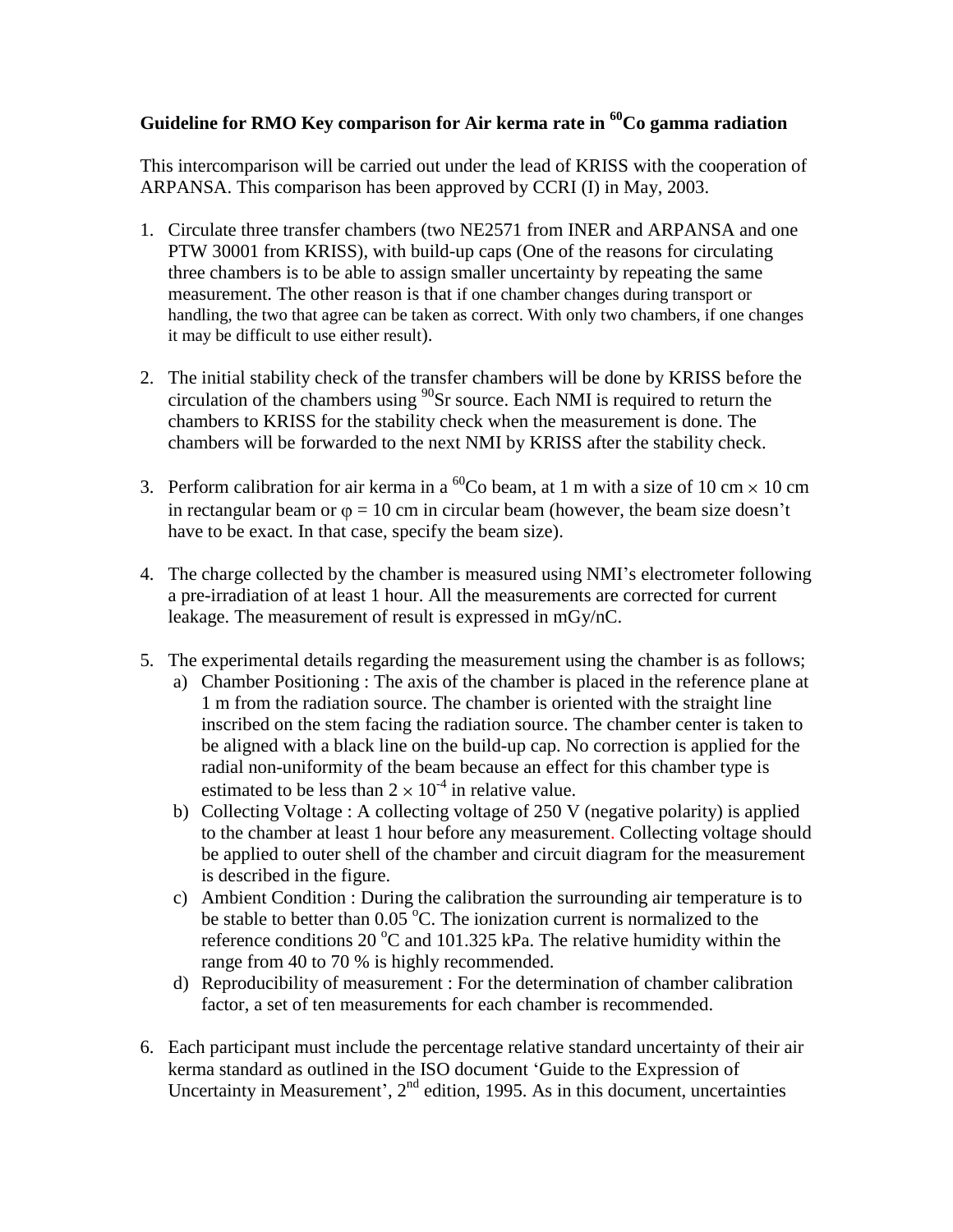## **Guideline for RMO Key comparison for Air kerma rate in <sup>60</sup>Co gamma radiation**

This intercomparison will be carried out under the lead of KRISS with the cooperation of ARPANSA. This comparison has been approved by CCRI (I) in May, 2003.

- 1. Circulate three transfer chambers (two NE2571 from INER and ARPANSA and one PTW 30001 from KRISS), with build-up caps (One of the reasons for circulating three chambers is to be able to assign smaller uncertainty by repeating the same measurement. The other reason is that if one chamber changes during transport or handling, the two that agree can be taken as correct. With only two chambers, if one changes it may be difficult to use either result).
- 2. The initial stability check of the transfer chambers will be done by KRISS before the circulation of the chambers using  $90$ Sr source. Each NMI is required to return the chambers to KRISS for the stability check when the measurement is done. The chambers will be forwarded to the next NMI by KRISS after the stability check.
- 3. Perform calibration for air kerma in a <sup>60</sup>Co beam, at 1 m with a size of 10 cm  $\times$  10 cm in rectangular beam or  $\varphi = 10$  cm in circular beam (however, the beam size doesn't have to be exact. In that case, specify the beam size).
- 4. The charge collected by the chamber is measured using NMI's electrometer following a pre-irradiation of at least 1 hour. All the measurements are corrected for current leakage. The measurement of result is expressed in mGy/nC.
- 5. The experimental details regarding the measurement using the chamber is as follows;
	- a) Chamber Positioning : The axis of the chamber is placed in the reference plane at 1 m from the radiation source. The chamber is oriented with the straight line inscribed on the stem facing the radiation source. The chamber center is taken to be aligned with a black line on the build-up cap. No correction is applied for the radial non-uniformity of the beam because an effect for this chamber type is estimated to be less than  $2 \times 10^{-4}$  in relative value.
	- b) Collecting Voltage : A collecting voltage of 250 V (negative polarity) is applied to the chamber at least 1 hour before any measurement. Collecting voltage should be applied to outer shell of the chamber and circuit diagram for the measurement is described in the figure.
	- c) Ambient Condition : During the calibration the surrounding air temperature is to be stable to better than  $0.05\degree$ C. The ionization current is normalized to the reference conditions 20  $\rm{^{\circ}C}$  and 101.325 kPa. The relative humidity within the range from 40 to 70 % is highly recommended.
	- d) Reproducibility of measurement : For the determination of chamber calibration factor, a set of ten measurements for each chamber is recommended.
- 6. Each participant must include the percentage relative standard uncertainty of their air kerma standard as outlined in the ISO document 'Guide to the Expression of Uncertainty in Measurement', 2<sup>nd</sup> edition, 1995. As in this document, uncertainties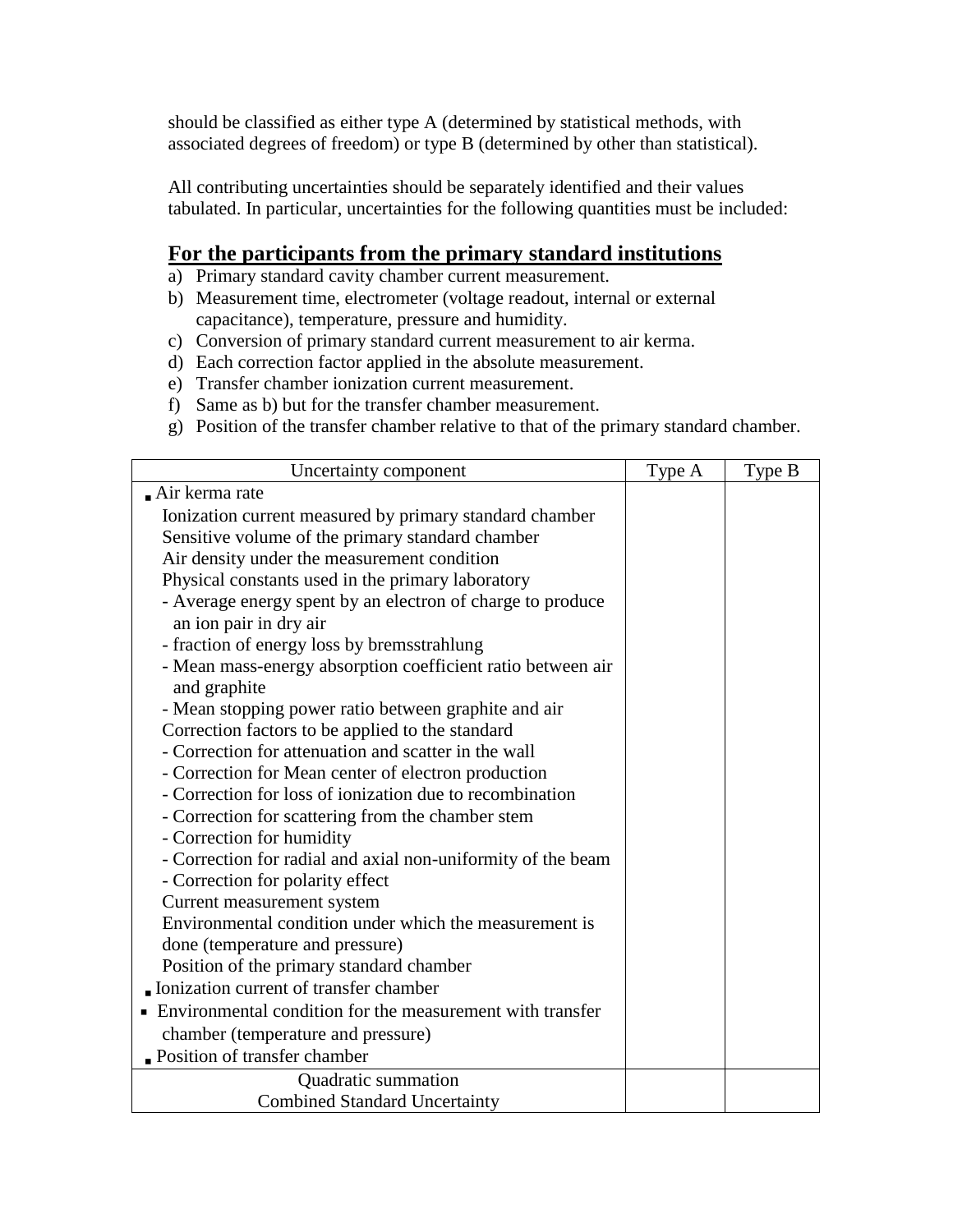should be classified as either type A (determined by statistical methods, with associated degrees of freedom) or type B (determined by other than statistical).

All contributing uncertainties should be separately identified and their values tabulated. In particular, uncertainties for the following quantities must be included:

### **For the participants from the primary standard institutions**

- a) Primary standard cavity chamber current measurement.
- b) Measurement time, electrometer (voltage readout, internal or external capacitance), temperature, pressure and humidity.
- c) Conversion of primary standard current measurement to air kerma.
- d) Each correction factor applied in the absolute measurement.
- e) Transfer chamber ionization current measurement.
- f) Same as b) but for the transfer chamber measurement.
- g) Position of the transfer chamber relative to that of the primary standard chamber.

| Uncertainty component                                        | Type A | Type B |
|--------------------------------------------------------------|--------|--------|
| $\blacksquare$ Air kerma rate                                |        |        |
| Ionization current measured by primary standard chamber      |        |        |
| Sensitive volume of the primary standard chamber             |        |        |
| Air density under the measurement condition                  |        |        |
| Physical constants used in the primary laboratory            |        |        |
| - Average energy spent by an electron of charge to produce   |        |        |
| an ion pair in dry air                                       |        |        |
| - fraction of energy loss by bremsstrahlung                  |        |        |
| - Mean mass-energy absorption coefficient ratio between air  |        |        |
| and graphite                                                 |        |        |
| - Mean stopping power ratio between graphite and air         |        |        |
| Correction factors to be applied to the standard             |        |        |
| - Correction for attenuation and scatter in the wall         |        |        |
| - Correction for Mean center of electron production          |        |        |
| - Correction for loss of ionization due to recombination     |        |        |
| - Correction for scattering from the chamber stem            |        |        |
| - Correction for humidity                                    |        |        |
| - Correction for radial and axial non-uniformity of the beam |        |        |
| - Correction for polarity effect                             |        |        |
| Current measurement system                                   |        |        |
| Environmental condition under which the measurement is       |        |        |
| done (temperature and pressure)                              |        |        |
| Position of the primary standard chamber                     |        |        |
| Ionization current of transfer chamber                       |        |        |
| Environmental condition for the measurement with transfer    |        |        |
| chamber (temperature and pressure)                           |        |        |
| Position of transfer chamber                                 |        |        |
| Quadratic summation                                          |        |        |
| <b>Combined Standard Uncertainty</b>                         |        |        |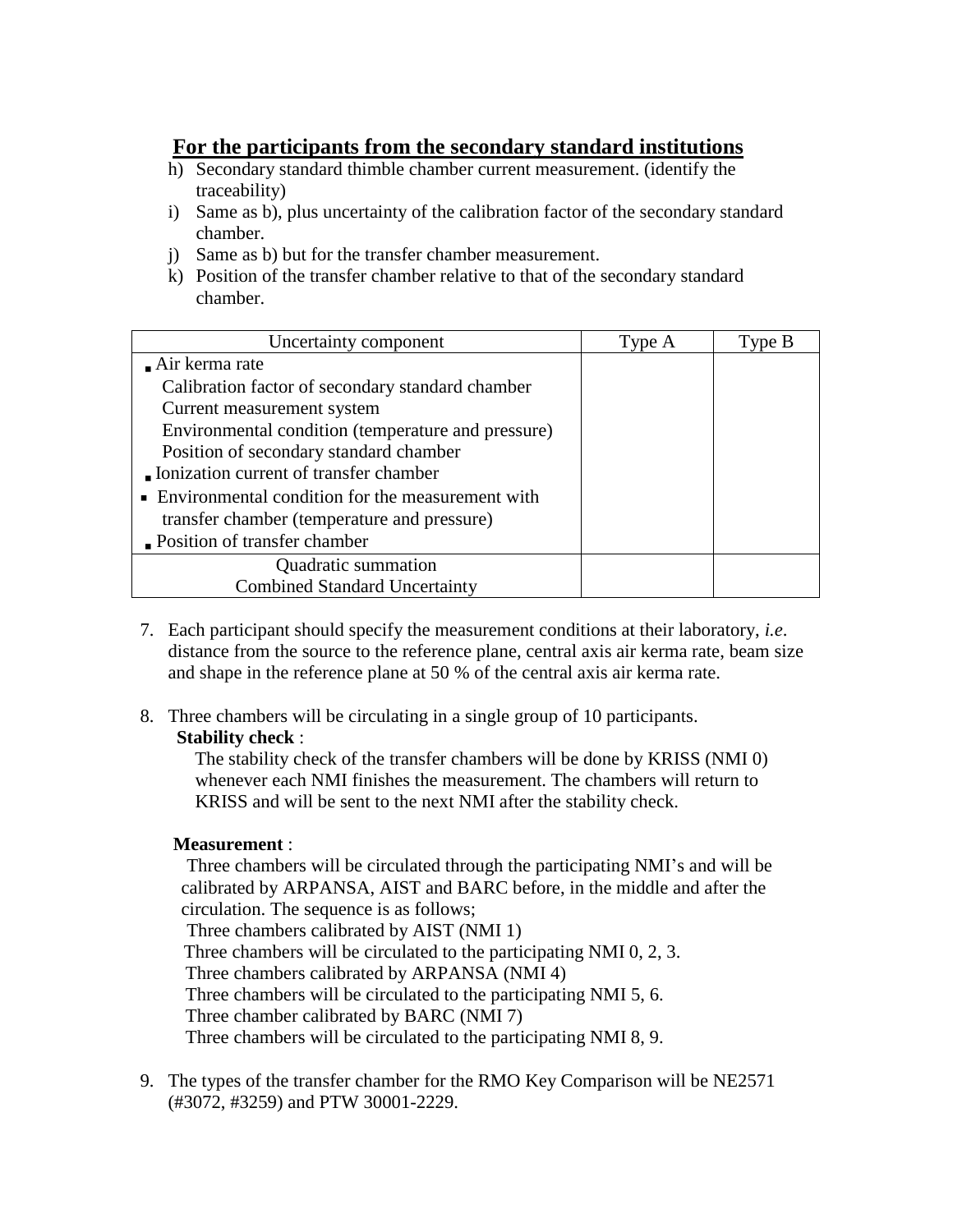# **For the participants from the secondary standard institutions**

- h) Secondary standard thimble chamber current measurement. (identify the traceability)
- i) Same as b), plus uncertainty of the calibration factor of the secondary standard chamber.
- j) Same as b) but for the transfer chamber measurement.
- k) Position of the transfer chamber relative to that of the secondary standard chamber.

| Uncertainty component                              | Type A | Type B |
|----------------------------------------------------|--------|--------|
| $\blacksquare$ Air kerma rate                      |        |        |
| Calibration factor of secondary standard chamber   |        |        |
| Current measurement system                         |        |        |
| Environmental condition (temperature and pressure) |        |        |
| Position of secondary standard chamber             |        |        |
| Ionization current of transfer chamber             |        |        |
| • Environmental condition for the measurement with |        |        |
| transfer chamber (temperature and pressure)        |        |        |
| Position of transfer chamber                       |        |        |
| Quadratic summation                                |        |        |
| <b>Combined Standard Uncertainty</b>               |        |        |

7. Each participant should specify the measurement conditions at their laboratory, *i.e*. distance from the source to the reference plane, central axis air kerma rate, beam size and shape in the reference plane at 50 % of the central axis air kerma rate.

#### 8. Three chambers will be circulating in a single group of 10 participants. **Stability check** :

The stability check of the transfer chambers will be done by KRISS (NMI 0) whenever each NMI finishes the measurement. The chambers will return to KRISS and will be sent to the next NMI after the stability check.

#### **Measurement** :

 Three chambers will be circulated through the participating NMI's and will be calibrated by ARPANSA, AIST and BARC before, in the middle and after the circulation. The sequence is as follows; Three chambers calibrated by AIST (NMI 1)

Three chambers will be circulated to the participating NMI 0, 2, 3. Three chambers calibrated by ARPANSA (NMI 4)

Three chambers will be circulated to the participating NMI 5, 6.

Three chamber calibrated by BARC (NMI 7)

Three chambers will be circulated to the participating NMI 8, 9.

9. The types of the transfer chamber for the RMO Key Comparison will be NE2571 (#3072, #3259) and PTW 30001-2229.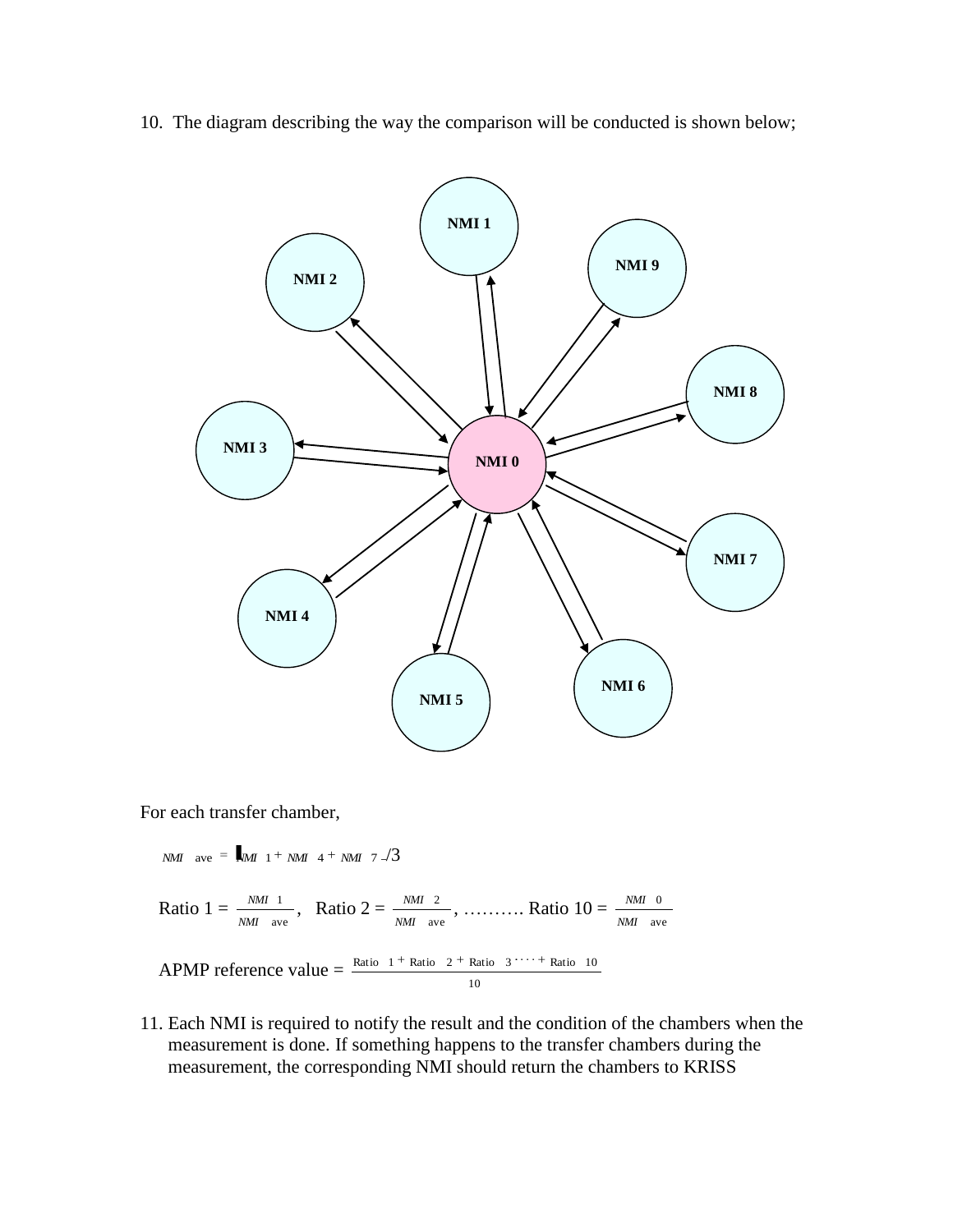10. The diagram describing the way the comparison will be conducted is shown below;



For each transfer chamber,

$$
NMI \quad \text{ave} = \frac{1}{2} MI \quad 1 + NMI \quad 4 + NMI \quad 7 \quad \frac{1}{3}
$$

Ratio  $1 = \frac{NML}{NML}$  ave 1 *NMI*  $\frac{NMI-1}{M_I}$  ave Ratio 2 =  $\frac{NMI-2}{NMI}$  ave 2 *NMI*  $\frac{NM}{M}$   $\frac{2}{\text{ave}}$ , ........... Ratio  $10 = \frac{NM}{NM}$  ave 0 *NMI NMI*

APMP reference value = 
$$
\frac{\text{Ratio } 1 + \text{Ratio } 2 + \text{Ratio } 3 \cdots + \text{Ratio } 10}{10}
$$

11. Each NMI is required to notify the result and the condition of the chambers when the measurement is done. If something happens to the transfer chambers during the measurement, the corresponding NMI should return the chambers to KRISS